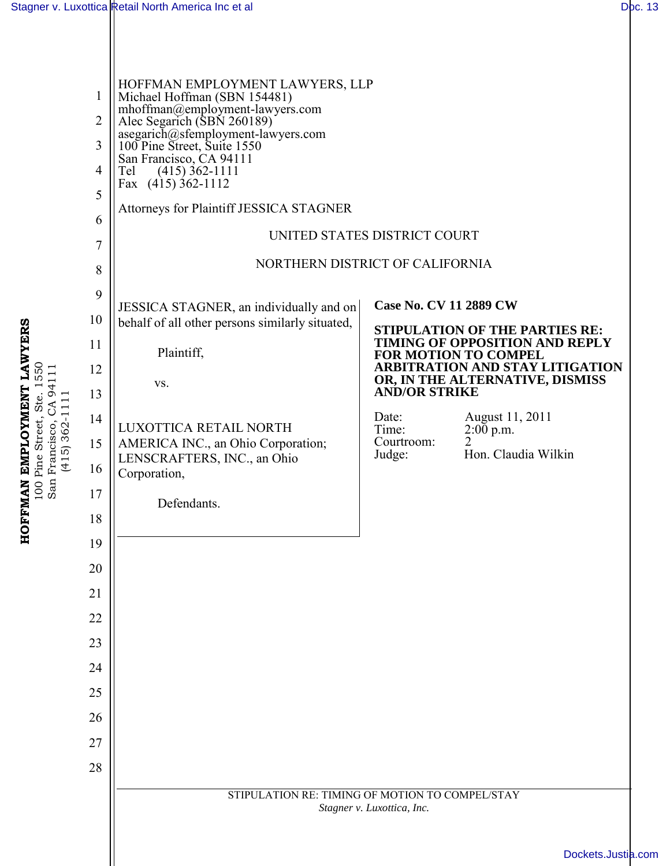**HOFFMAN EMPLOYMENT LAWYERS** 100 Pine Street, Ste. 1550 San Francisco, CA 94111 (415) 362-1111

HOFFMAN EMPLOYMENT LAWYERS<br>100 Pine Street, Ste. 1550<br>San Francisco, CA 94111<br>(415) 362-1111

| $\mathbf{1}$<br>$\overline{2}$ | HOFFMAN EMPLOYMENT LAWYERS, LLP<br>Michael Hoffman (SBN 154481)<br>mhoffman@employment-lawyers.com<br>Alec Segarich (SBN 260189) |                                                                                                                                                                                                             |                                   |
|--------------------------------|----------------------------------------------------------------------------------------------------------------------------------|-------------------------------------------------------------------------------------------------------------------------------------------------------------------------------------------------------------|-----------------------------------|
| 3                              | asegarich@sfemployment-lawyers.com<br>100 Pine Street, Suite 1550                                                                |                                                                                                                                                                                                             |                                   |
| $\overline{4}$                 | San Francisco, CA 94111<br>$(415)$ 362-1111<br>Tel                                                                               |                                                                                                                                                                                                             |                                   |
| 5                              | Fax $(415)$ 362-1112                                                                                                             |                                                                                                                                                                                                             |                                   |
| 6                              | <b>Attorneys for Plaintiff JESSICA STAGNER</b>                                                                                   |                                                                                                                                                                                                             |                                   |
| 7                              | UNITED STATES DISTRICT COURT                                                                                                     |                                                                                                                                                                                                             |                                   |
| 8                              | NORTHERN DISTRICT OF CALIFORNIA                                                                                                  |                                                                                                                                                                                                             |                                   |
| 9                              | <b>Case No. CV 11 2889 CW</b><br>JESSICA STAGNER, an individually and on                                                         |                                                                                                                                                                                                             |                                   |
| 10                             | behalf of all other persons similarly situated,                                                                                  | <b>STIPULATION OF THE PARTIES RE:</b><br><b>TIMING OF OPPOSITION AND REPLY</b><br>FOR MOTION TO COMPEL<br><b>ARBITRATION AND STAY LITIGATION</b><br>OR, IN THE ALTERNATIVE, DISMISS<br><b>AND/OR STRIKE</b> |                                   |
| 11                             | Plaintiff,                                                                                                                       |                                                                                                                                                                                                             |                                   |
| 12                             | VS.                                                                                                                              |                                                                                                                                                                                                             |                                   |
| 13                             |                                                                                                                                  |                                                                                                                                                                                                             |                                   |
| 14<br>15                       | LUXOTTICA RETAIL NORTH<br>AMERICA INC., an Ohio Corporation;                                                                     | Date:<br>Time:<br>Courtroom:                                                                                                                                                                                | August 11, 2011<br>2:00 p.m.<br>2 |
| 16                             | LENSCRAFTERS, INC., an Ohio                                                                                                      | Judge:                                                                                                                                                                                                      | Hon. Claudia Wilkin               |
| 17                             | Corporation,                                                                                                                     |                                                                                                                                                                                                             |                                   |
| 18                             | Defendants.                                                                                                                      |                                                                                                                                                                                                             |                                   |
| 19                             |                                                                                                                                  |                                                                                                                                                                                                             |                                   |
| 20                             |                                                                                                                                  |                                                                                                                                                                                                             |                                   |
| 21                             |                                                                                                                                  |                                                                                                                                                                                                             |                                   |
| 22                             |                                                                                                                                  |                                                                                                                                                                                                             |                                   |
| 23                             |                                                                                                                                  |                                                                                                                                                                                                             |                                   |
| 24                             |                                                                                                                                  |                                                                                                                                                                                                             |                                   |
| 25                             |                                                                                                                                  |                                                                                                                                                                                                             |                                   |
| 26                             |                                                                                                                                  |                                                                                                                                                                                                             |                                   |
| 27                             |                                                                                                                                  |                                                                                                                                                                                                             |                                   |
| 28                             |                                                                                                                                  |                                                                                                                                                                                                             |                                   |
|                                | STIPULATION RE: TIMING OF MOTION TO COMPEL/STAY<br>Stagner v. Luxottica, Inc.                                                    |                                                                                                                                                                                                             |                                   |
|                                |                                                                                                                                  |                                                                                                                                                                                                             |                                   |
|                                | Dockets.Justia                                                                                                                   |                                                                                                                                                                                                             |                                   |

## [Dockets.Justia.com](http://dockets.justia.com/)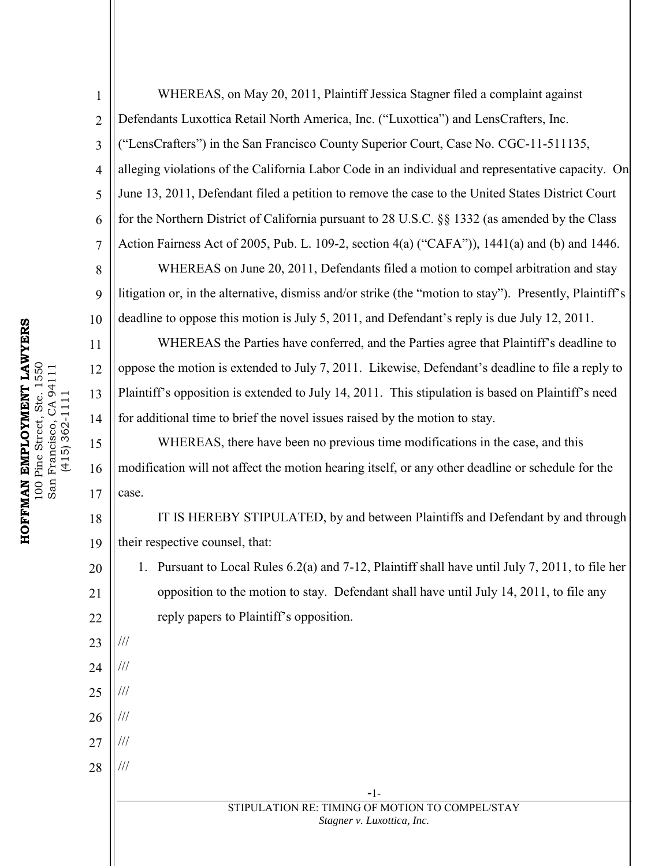8

9

10

11

12

13

14

15

16

17

20

21

22

23

///

///

///

///

///

///

24

25

26

27

28

1 2 3 4 5 6 7 WHEREAS, on May 20, 2011, Plaintiff Jessica Stagner filed a complaint against Defendants Luxottica Retail North America, Inc. ("Luxottica") and LensCrafters, Inc. ("LensCrafters") in the San Francisco County Superior Court, Case No. CGC-11-511135, alleging violations of the California Labor Code in an individual and representative capacity. On June 13, 2011, Defendant filed a petition to remove the case to the United States District Court for the Northern District of California pursuant to 28 U.S.C. §§ 1332 (as amended by the Class Action Fairness Act of 2005, Pub. L. 109-2, section 4(a) ("CAFA")), 1441(a) and (b) and 1446.

WHEREAS on June 20, 2011, Defendants filed a motion to compel arbitration and stay litigation or, in the alternative, dismiss and/or strike (the "motion to stay"). Presently, Plaintiff's deadline to oppose this motion is July 5, 2011, and Defendant's reply is due July 12, 2011.

WHEREAS the Parties have conferred, and the Parties agree that Plaintiff's deadline to oppose the motion is extended to July 7, 2011. Likewise, Defendant's deadline to file a reply to Plaintiff's opposition is extended to July 14, 2011. This stipulation is based on Plaintiff's need for additional time to brief the novel issues raised by the motion to stay.

WHEREAS, there have been no previous time modifications in the case, and this modification will not affect the motion hearing itself, or any other deadline or schedule for the case.

18 19 IT IS HEREBY STIPULATED, by and between Plaintiffs and Defendant by and through their respective counsel, that:

1. Pursuant to Local Rules 6.2(a) and 7-12, Plaintiff shall have until July 7, 2011, to file her opposition to the motion to stay. Defendant shall have until July 14, 2011, to file any reply papers to Plaintiff's opposition.